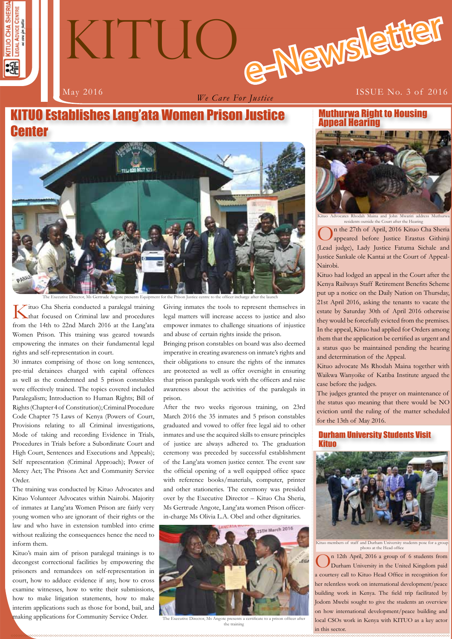



*We Care For Justice*

# KITUO Establishes Lang'ata Women Prison Justice **Center**



The Executive Director, Ms Gertrude Angote presents Equipment for the Prison Justice centre to the officer incharge after the launch

Tituo Cha Sheria conducted a paralegal training that focused on Criminal law and procedures from the 14th to 22nd March 2016 at the Lang'ata Women Prison. This training was geared towards empowering the inmates on their fundamental legal rights and self-representation in court.

30 inmates comprising of those on long sentences, pre-trial detainees charged with capital offences as well as the condemned and 5 prison constables were effectively trained. The topics covered included Paralegalism; Introduction to Human Rights; Bill of Rights (Chapter 4 of Constitution); Criminal Procedure Code Chapter 75 Laws of Kenya (Powers of Court, Provisions relating to all Criminal investigations, Mode of taking and recording Evidence in Trials, Procedures in Trials before a Subordinate Court and High Court, Sentences and Executions and Appeals); Self representation (Criminal Approach); Power of Mercy Act; The Prisons Act and Community Service Order.

The training was conducted by Kituo Advocates and Kituo Volunteer Advocates within Nairobi. Majority of inmates at Lang'ata Women Prison are fairly very young women who are ignorant of their rights or the law and who have in extension tumbled into crime without realizing the consequences hence the need to inform them.

Kituo's main aim of prison paralegal trainings is to decongest correctional facilities by empowering the prisoners and remandees on self-representation in court, how to adduce evidence if any, how to cross examine witnesses, how to write their submissions, how to make litigation statements, how to make interim applications such as those for bond, bail, and making applications for Community Service Order.

Giving inmates the tools to represent themselves in legal matters will increase access to justice and also empower inmates to challenge situations of injustice and abuse of certain rights inside the prison.

Bringing prison constables on board was also deemed imperative in creating awareness on inmate's rights and their obligations to ensure the rights of the inmates are protected as well as offer oversight in ensuring that prison paralegals work with the officers and raise awareness about the activities of the paralegals in prison.

After the two weeks rigorous training, on 23rd March 2016 the 35 inmates and 5 prison constables graduated and vowed to offer free legal aid to other inmates and use the acquired skills to ensure principles of justice are always adhered to. The graduation ceremony was preceded by successful establishment of the Lang'ata women justice center. The event saw the official opening of a well equipped office space with reference books/materials, computer, printer and other stationeries. The ceremony was presided over by the Executive Director – Kituo Cha Sheria, Ms Gertrude Angote, Lang'ata women Prison officerin-charge Ms Olivia L.A. Obel and other dignitaries.



The Executive Director, Ms Angote presents a certificate to a prison officer after the training

#### Muthurwa Right to Housing Appeal Hearing



residents outside the Court after the Hearing

n the 27th of April, 2016 Kituo Cha Sheria appeared before Justice Erastus Githinji (Lead judge), Lady Justice Fatuma Sichale and Justice Sankale ole Kantai at the Court of Appeal-Nairobi.

Kituo had lodged an appeal in the Court after the Kenya Railways Staff Retirement Benefits Scheme put up a notice on the Daily Nation on Thursday, 21st April 2016, asking the tenants to vacate the estate by Saturday 30th of April 2016 otherwise they would be forcefully evicted from the premises. In the appeal, Kituo had applied for Orders among them that the application be certified as urgent and a status quo be maintained pending the hearing and determination of the Appeal.

Kituo advocate Ms Rhodah Maina together with Waikwa Wanyoike of Katiba Institute argued the case before the judges.

The judges granted the prayer on maintenance of the status quo meaning that there would be NO eviction until the ruling of the matter scheduled for the 13th of May 2016.

#### Durham University Students Visit Kituo



Kituo members of staff and Durham University students pose for a group photo at the Head office

**1** local CSOs work in Kenya with KITUO as a key actor On 12th April, 2016 a group of 6 students from Durham University in the United Kingdom paid a courtesy call to Kituo Head Office in recognition for her relentless work on international development/peace building work in Kenya. The field trip facilitated by Jodom Mwebi sought to give the students an overview on how international development/peace building and in this sector.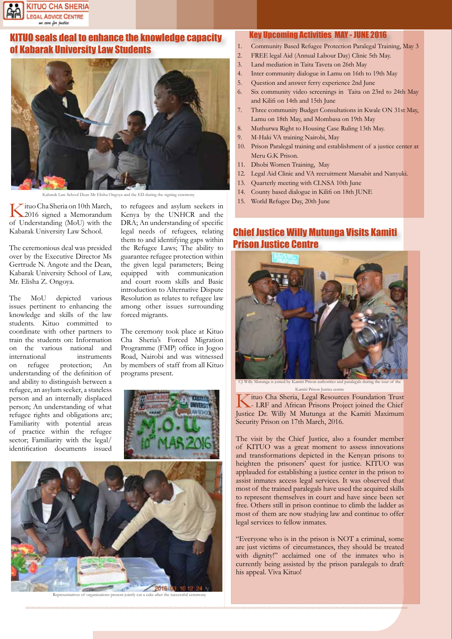

## KITUO seals deal to enhance the knowledge capacity of Kabarak University Law Students



Kabarak Law School Dean Mr Elisha Ongoya and the ED during the signing cer

Kituo Cha Sheria on 10th March,<br>
2016 signed a Memorandum of Understanding (MoU) with the Kabarak University Law School.

The ceremonious deal was presided over by the Executive Director Ms Gertrude N. Angote and the Dean, Kabarak University School of Law, Mr. Elisha Z. Ongoya.

The MoU depicted various issues pertinent to enhancing the knowledge and skills of the law students. Kituo committed to coordinate with other partners to train the students on: Information on the various national and international instruments on refugee protection; An understanding of the definition of and ability to distinguish between a refugee, an asylum seeker, a stateless person and an internally displaced person; An understanding of what refugee rights and obligations are; Familiarity with potential areas of practice within the refugee sector; Familiarity with the legal/ identification documents issued

to refugees and asylum seekers in Kenya by the UNHCR and the DRA; An understanding of specific legal needs of refugees, relating them to and identifying gaps within the Refugee Laws; The ability to guarantee refugee protection within the given legal parameters; Being equipped with communication and court room skills and Basic introduction to Alternative Dispute Resolution as relates to refugee law among other issues surrounding forced migrants.

The ceremony took place at Kituo Cha Sheria's Forced Migration Programme (FMP) office in Jogoo Road, Nairobi and was witnessed by members of staff from all Kituo programs present.





Representatives of organisations present jointly cut a cake after the successful ceremo

#### Key Upcoming Activities MAY - JUNE 2016

- 1. Community Based Refugee Protection Paralegal Training, May 3
- 2. FREE legal Aid (Annual Labour Day) Clinic 5th May.
- 3. Land mediation in Taita Taveta on 26th May
- 4. Inter community dialogue in Lamu on 16th to 19th May
- 5. Question and answer ferry experience 2nd June
- 6. Six community video screenings in Taita on 23rd to 24th May and Kilifi on 14th and 15th June
- Three community Budget Consultations in Kwale ON 31st May, Lamu on 18th May, and Mombasa on 19th May
- 8. Muthurwa Right to Housing Case Ruling 13th May.
- 9. M-Haki VA training Nairobi, May
- 10. Prison Paralegal training and establishment of a justice center at Meru G.K Prison.
- 11. Dhobi Women Training, May
- 12. Legal Aid Clinic and VA recruitment Marsabit and Nanyuki.
- 13. Quarterly meeting with CLNSA 10th June
- 14. County based dialogue in Kilifi on 18th JUNE
- 15. World Refugee Day, 20th June

## Chief Justice Willy Mutunga Visits Kamiti Prison Justice Centre



Kamiti Prison Justice centre

Kituo Cha Sheria, Legal Resources Foundation Trust<br>- LRF and African Prisons Project joined the Chief Justice Dr. Willy M Mutunga at the Kamiti Maximum Security Prison on 17th March, 2016.

The visit by the Chief Justice, also a founder member of KITUO was a great moment to assess innovations and transformations depicted in the Kenyan prisons to heighten the prisoners' quest for justice. KITUO was applauded for establishing a justice center in the prison to assist inmates access legal services. It was observed that most of the trained paralegals have used the acquired skills to represent themselves in court and have since been set free. Others still in prison continue to climb the ladder as most of them are now studying law and continue to offer legal services to fellow inmates.

"Everyone who is in the prison is NOT a criminal, some are just victims of circumstances, they should be treated with dignity!" acclaimed one of the inmates who is currently being assisted by the prison paralegals to draft his appeal. Viva Kituo!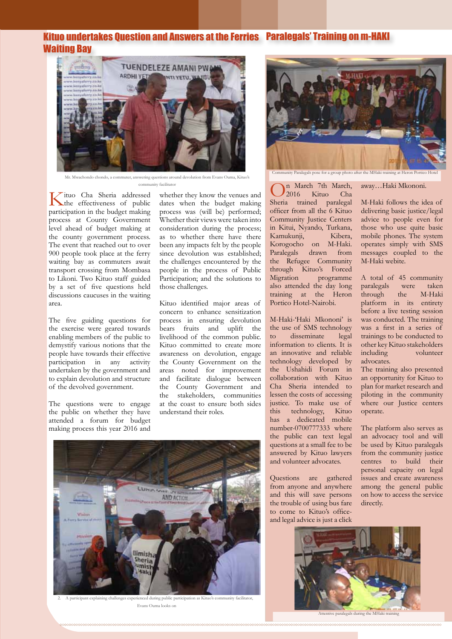#### Kituo undertakes Question and Answers at the Ferries Paralegals' Training on m-HAKI Waiting Bay



Mr. Mwachondo chondo, a commuter, answering questions around devolution from Evans Ouma, Kituo's

Kituo Cha Sheria addressed the effectiveness of public participation in the budget making process at County Government level ahead of budget making at the county government process. The event that reached out to over 900 people took place at the ferry waiting bay as commuters await transport crossing from Mombasa to Likoni. Two Kituo staff guided by a set of five questions held discussions caucuses in the waiting area.

The five guiding questions for the exercise were geared towards enabling members of the public to demystify various notions that the people have towards their effective participation in any activity undertaken by the government and to explain devolution and structure of the devolved government.

The questions were to engage the public on whether they have attended a forum for budget making process this year 2016 and

dates when the budget making process was (will be) performed; Whether their views were taken into consideration during the process; as to whether there have there been any impacts felt by the people since devolution was established; the challenges encountered by the people in the process of Public Participation; and the solutions to those challenges.

Kituo identified major areas of concern to enhance sensitization process in ensuring devolution bears fruits and uplift the livelihood of the common public. Kituo committed to create more awareness on devolution, engage the County Government on the areas noted for improvement and facilitate dialogue between the County Government and the stakeholders, communities at the coast to ensure both sides understand their roles.



2. A participant explaining challenges experienced during public participation as Kituo's community facilitator, Evans Ouma looks on



community facilitator<br>ssed whether they know the venues and  $\boxed{O^n_2016}$  Kituo Cha 2016 Kituo Cha Sheria trained paralegal officer from all the 6 Kituo Community Justice Centers in Kitui, Nyando, Turkana, Kamukunji, Kibera, Korogocho on M-Haki. Paralegals drawn from the Refugee Community through Kituo's Forced<br>Migration programme programme also attended the day long training at the Heron Portico Hotel-Nairobi.

> M-Haki-'Haki Mkononi' is the use of SMS technology to disseminate legal information to clients. It is an innovative and reliable technology developed by the Ushahidi Forum in collaboration with Kituo Cha Sheria intended to lessen the costs of accessing justice. To make use of this technology, Kituo has a dedicated mobile number-0700777333 where the public can text legal questions at a small fee to be answered by Kituo lawyers and volunteer advocates.

Questions are gathered from anyone and anywhere and this will save persons the trouble of using bus fare to come to Kituo's officeand legal advice is just a click

away…Haki Mkononi.

M-Haki follows the idea of delivering basic justice/legal advice to people even for those who use quite basic mobile phones. The system operates simply with SMS messages coupled to the M-Haki webite.

A total of 45 community<br>paralegals were taken paralegals were taken<br>through the M-Haki through platform in its entirety before a live testing session was conducted. The training was a first in a series of trainings to be conducted to other key Kituo stakeholders including volunteer advocates.

The training also presented an opportunity for Kituo to plan for market research and piloting in the community where our Justice centers operate.

The platform also serves as an advocacy tool and will be used by Kituo paralegals from the community justice centres to build their personal capacity on legal issues and create awareness among the general public on how to access the service directly.

**33**



Attentive paralegals during the MHaki training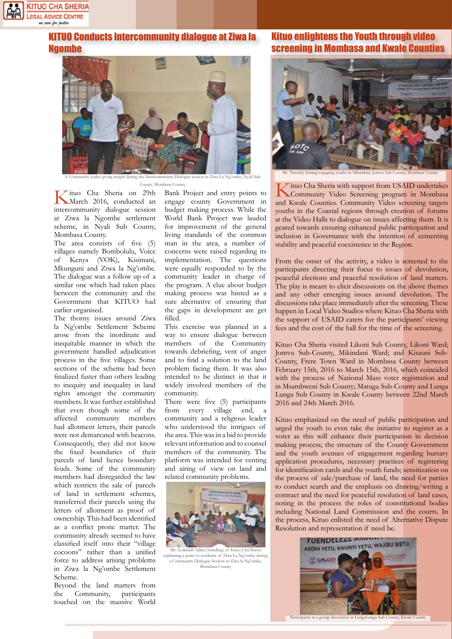

### KITUO Conducts Intercommunity dialogue at Ziwa la Ngombe



der giving insight during the International

Kituo Cha Sheria on 29th March 2016, conducted an intercommunity dialogue session at Ziwa la Ngombe settlement scheme, in Nyali Sub County, Mombasa County.

The area consists of five (5) villages namely Bombolulu, Voice of Kenya (VOK), Kisimani, Mkunguni and Ziwa la Ng'ombe. The dialogue was a follow up of a similar one which had taken place between the community and the Government that KITUO had earlier organised.

The thorny issues around Ziwa la Ng'ombe Settlement Scheme arose from the inordinate and inequitable manner in which the government handled adjudication process in the five villages. Some sections of the scheme had been finalized faster than others leading to inequity and inequality in land rights amongst the community members. It was further established that even though some of the affected community members had allotment letters, their parcels were not demarcated with beacons. Consequently, they did not know the fixed boundaries of their parcels of land hence boundary feuds. Some of the community members had disregarded the law which restricts the sale of parcels of land in settlement schemes, transferred their parcels using the letters of allotment as proof of ownership. This had been identified as a conflict prone matter. The community already seemed to have classified itself into their "village cocoons" rather than a unified force to address arising problems in Ziwa la Ng'ombe Settlement Scheme.

Beyond the land matters from the Community, participants touched on the massive World Bank Project and entry points to engage county Government in budget making process. While the World Bank Project was lauded for improvement of the general living standards of the common man in the area, a number of concerns were raised regarding its implementation. The questions were equally responded to by the community leader in charge of the program. A clue about budget making process was hinted as a sure alternative of ensuring that the gaps in development are get filled.

This exercise was planned in a way to ensure dialogue between members of the Community towards debriefing, vent of anger and to find a solution to the land problem facing them. It was also intended to be distinct in that it widely involved members of the community.

There were five (5) participants from every village end, community and a religious leader who understood the intrigues of the area. This was in a bid to provide relevant information and to counsel members of the community. The platform was intended for venting and airing of view on land and related community problems.



Mr. Zedekiah Adika (standing) of Kituo Cha Sheria explaining a point to residents of Ziwa La Ng'ombe during a Community Dialogue Session in Ziwa la Ng'ombe, Mombasa County

### Kituo enlightens the Youth through video screening in Mombasa and Kwale Counties



Mr. Timothy Kiringi engaging youths in Mikindani, Jomvu Sub County, Mombasa County

County, Mombasa County<br>
29th Bank Project and entry points to **K**ituo Cha Sheria with support from USAID undertakes<br>
Community Video Screening program in Mombasa and Kwale Counties. Community Video screening targets youths in the Coastal regions through creation of forums at the Video Halls to dialogue on issues affecting them. It is geared towards ensuring enhanced public participation and inclusion in Governance with the intention of cementing stability and peaceful coexistence in the Region.

> From the onset of the activity, a video is screened to the participants directing their focus to issues of devolution, peaceful elections and peaceful resolution of land matters. The play is meant to elicit discussions on the above themes and any other emerging issues around devolution. The discussions take place immediately after the screening. These happen in Local Video Studios where Kituo Cha Sheria with the support of USAID caters for the participants' viewing fees and the cost of the hall for the time of the screening.

> Kituo Cha Sheria visited Likoni Sub County, Likoni Ward; Jomvu Sub-County, Mikindani Ward; and Kisauni Sub-County, Frere Town Ward in Mombasa County between February 15th, 2016 to March 15th, 2016, which coincided with the process of National Mass voter registration and in Msambweni Sub County; Matuga Sub-County and Lunga Lunga Sub County in Kwale County between 22nd March 2016 and 24th March 2016.

> Kituo emphasized on the need of public participation and urged the youth to even take the initiative to register as a voter as this will enhance their participation in decision making process; the structure of the County Government and the youth avenues of engagement regarding bursary application procedures, necessary practices of registering for identification cards and the youth funds; sensitization on the process of sale/purchase of land, the need for parties to conduct search and the emphasis on drawing/writing a contract and the need for peaceful resolution of land cases, noting in the process the roles of constitutional bodies including National Land Commission and the courts. In the process, Kituo enlisted the need of Alternative Dispute Resolution and representation if need be.



Participants at a group discus